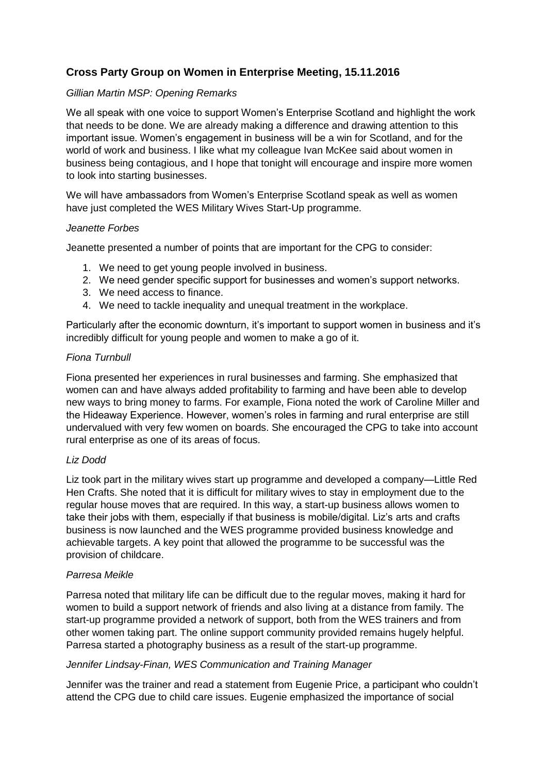# **Cross Party Group on Women in Enterprise Meeting, 15.11.2016**

# *Gillian Martin MSP: Opening Remarks*

We all speak with one voice to support Women's Enterprise Scotland and highlight the work that needs to be done. We are already making a difference and drawing attention to this important issue. Women's engagement in business will be a win for Scotland, and for the world of work and business. I like what my colleague Ivan McKee said about women in business being contagious, and I hope that tonight will encourage and inspire more women to look into starting businesses.

We will have ambassadors from Women's Enterprise Scotland speak as well as women have just completed the WES Military Wives Start-Up programme.

### *Jeanette Forbes*

Jeanette presented a number of points that are important for the CPG to consider:

- 1. We need to get young people involved in business.
- 2. We need gender specific support for businesses and women's support networks.
- 3. We need access to finance.
- 4. We need to tackle inequality and unequal treatment in the workplace.

Particularly after the economic downturn, it's important to support women in business and it's incredibly difficult for young people and women to make a go of it.

#### *Fiona Turnbull*

Fiona presented her experiences in rural businesses and farming. She emphasized that women can and have always added profitability to farming and have been able to develop new ways to bring money to farms. For example, Fiona noted the work of Caroline Miller and the Hideaway Experience. However, women's roles in farming and rural enterprise are still undervalued with very few women on boards. She encouraged the CPG to take into account rural enterprise as one of its areas of focus.

### *Liz Dodd*

Liz took part in the military wives start up programme and developed a company—Little Red Hen Crafts. She noted that it is difficult for military wives to stay in employment due to the regular house moves that are required. In this way, a start-up business allows women to take their jobs with them, especially if that business is mobile/digital. Liz's arts and crafts business is now launched and the WES programme provided business knowledge and achievable targets. A key point that allowed the programme to be successful was the provision of childcare.

### *Parresa Meikle*

Parresa noted that military life can be difficult due to the regular moves, making it hard for women to build a support network of friends and also living at a distance from family. The start-up programme provided a network of support, both from the WES trainers and from other women taking part. The online support community provided remains hugely helpful. Parresa started a photography business as a result of the start-up programme.

### *Jennifer Lindsay-Finan, WES Communication and Training Manager*

Jennifer was the trainer and read a statement from Eugenie Price, a participant who couldn't attend the CPG due to child care issues. Eugenie emphasized the importance of social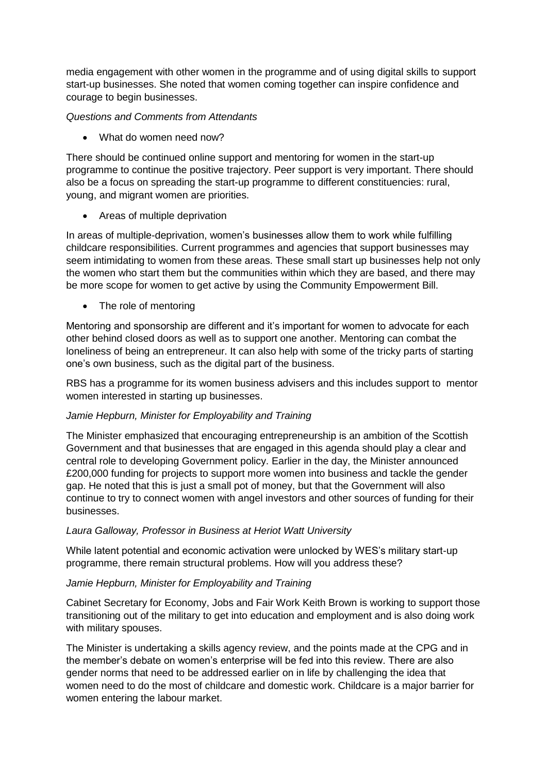media engagement with other women in the programme and of using digital skills to support start-up businesses. She noted that women coming together can inspire confidence and courage to begin businesses.

# *Questions and Comments from Attendants*

What do women need now?

There should be continued online support and mentoring for women in the start-up programme to continue the positive trajectory. Peer support is very important. There should also be a focus on spreading the start-up programme to different constituencies: rural, young, and migrant women are priorities.

• Areas of multiple deprivation

In areas of multiple-deprivation, women's businesses allow them to work while fulfilling childcare responsibilities. Current programmes and agencies that support businesses may seem intimidating to women from these areas. These small start up businesses help not only the women who start them but the communities within which they are based, and there may be more scope for women to get active by using the Community Empowerment Bill.

• The role of mentoring

Mentoring and sponsorship are different and it's important for women to advocate for each other behind closed doors as well as to support one another. Mentoring can combat the loneliness of being an entrepreneur. It can also help with some of the tricky parts of starting one's own business, such as the digital part of the business.

RBS has a programme for its women business advisers and this includes support to mentor women interested in starting up businesses.

# *Jamie Hepburn, Minister for Employability and Training*

The Minister emphasized that encouraging entrepreneurship is an ambition of the Scottish Government and that businesses that are engaged in this agenda should play a clear and central role to developing Government policy. Earlier in the day, the Minister announced £200,000 funding for projects to support more women into business and tackle the gender gap. He noted that this is just a small pot of money, but that the Government will also continue to try to connect women with angel investors and other sources of funding for their businesses.

### *Laura Galloway, Professor in Business at Heriot Watt University*

While latent potential and economic activation were unlocked by WES's military start-up programme, there remain structural problems. How will you address these?

# *Jamie Hepburn, Minister for Employability and Training*

Cabinet Secretary for Economy, Jobs and Fair Work Keith Brown is working to support those transitioning out of the military to get into education and employment and is also doing work with military spouses.

The Minister is undertaking a skills agency review, and the points made at the CPG and in the member's debate on women's enterprise will be fed into this review. There are also gender norms that need to be addressed earlier on in life by challenging the idea that women need to do the most of childcare and domestic work. Childcare is a major barrier for women entering the labour market.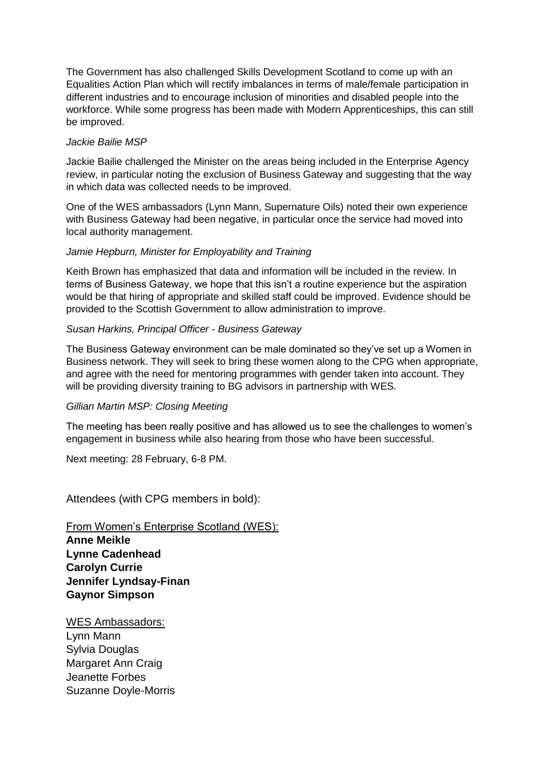The Government has also challenged Skills Development Scotland to come up with an Equalities Action Plan which will rectify imbalances in terms of male/female participation in different industries and to encourage inclusion of minorities and disabled people into the workforce. While some progress has been made with Modern Apprenticeships, this can still be improved.

### *Jackie Bailie MSP*

Jackie Bailie challenged the Minister on the areas being included in the Enterprise Agency review, in particular noting the exclusion of Business Gateway and suggesting that the way in which data was collected needs to be improved.

One of the WES ambassadors (Lynn Mann, Supernature Oils) noted their own experience with Business Gateway had been negative, in particular once the service had moved into local authority management.

# *Jamie Hepburn, Minister for Employability and Training*

Keith Brown has emphasized that data and information will be included in the review. In terms of Business Gateway, we hope that this isn't a routine experience but the aspiration would be that hiring of appropriate and skilled staff could be improved. Evidence should be provided to the Scottish Government to allow administration to improve.

# *Susan Harkins, Principal Officer - Business Gateway*

The Business Gateway environment can be male dominated so they've set up a Women in Business network. They will seek to bring these women along to the CPG when appropriate, and agree with the need for mentoring programmes with gender taken into account. They will be providing diversity training to BG advisors in partnership with WES.

### *Gillian Martin MSP: Closing Meeting*

The meeting has been really positive and has allowed us to see the challenges to women's engagement in business while also hearing from those who have been successful.

Next meeting: 28 February, 6-8 PM.

Attendees (with CPG members in bold):

From Women's Enterprise Scotland (WES): **Anne Meikle Lynne Cadenhead Carolyn Currie Jennifer Lyndsay-Finan Gaynor Simpson**

WES Ambassadors: Lynn Mann Sylvia Douglas Margaret Ann Craig Jeanette Forbes Suzanne Doyle-Morris